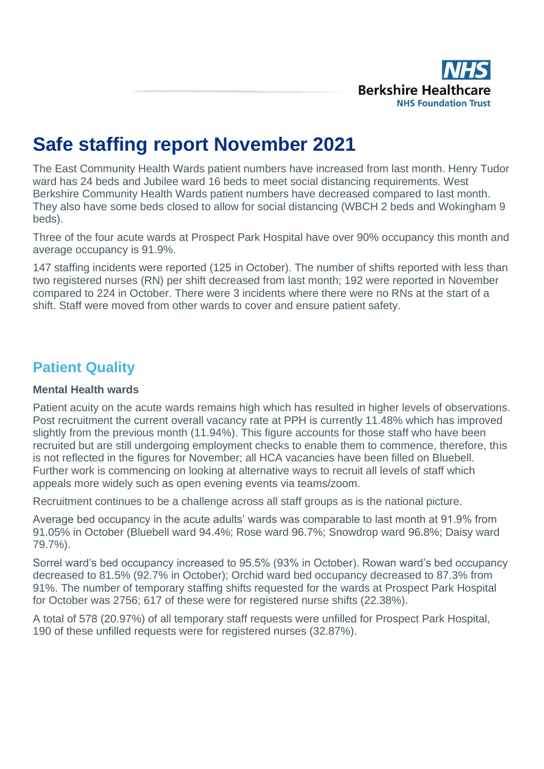

# **Safe staffing report November 2021**

The East Community Health Wards patient numbers have increased from last month. Henry Tudor ward has 24 beds and Jubilee ward 16 beds to meet social distancing requirements. West Berkshire Community Health Wards patient numbers have decreased compared to last month. They also have some beds closed to allow for social distancing (WBCH 2 beds and Wokingham 9 beds).

Three of the four acute wards at Prospect Park Hospital have over 90% occupancy this month and average occupancy is 91.9%.

147 staffing incidents were reported (125 in October). The number of shifts reported with less than two registered nurses (RN) per shift decreased from last month; 192 were reported in November compared to 224 in October. There were 3 incidents where there were no RNs at the start of a shift. Staff were moved from other wards to cover and ensure patient safety.

# **Patient Quality**

#### **Mental Health wards**

Patient acuity on the acute wards remains high which has resulted in higher levels of observations. Post recruitment the current overall vacancy rate at PPH is currently 11.48% which has improved slightly from the previous month (11.94%). This figure accounts for those staff who have been recruited but are still undergoing employment checks to enable them to commence, therefore, this is not reflected in the figures for November; all HCA vacancies have been filled on Bluebell. Further work is commencing on looking at alternative ways to recruit all levels of staff which appeals more widely such as open evening events via teams/zoom.

Recruitment continues to be a challenge across all staff groups as is the national picture.

Average bed occupancy in the acute adults' wards was comparable to last month at 91.9% from 91.05% in October (Bluebell ward 94.4%; Rose ward 96.7%; Snowdrop ward 96.8%; Daisy ward 79.7%).

Sorrel ward's bed occupancy increased to 95.5% (93% in October). Rowan ward's bed occupancy decreased to 81.5% (92.7% in October); Orchid ward bed occupancy decreased to 87.3% from 91%. The number of temporary staffing shifts requested for the wards at Prospect Park Hospital for October was 2756; 617 of these were for registered nurse shifts (22.38%).

A total of 578 (20.97%) of all temporary staff requests were unfilled for Prospect Park Hospital, 190 of these unfilled requests were for registered nurses (32.87%).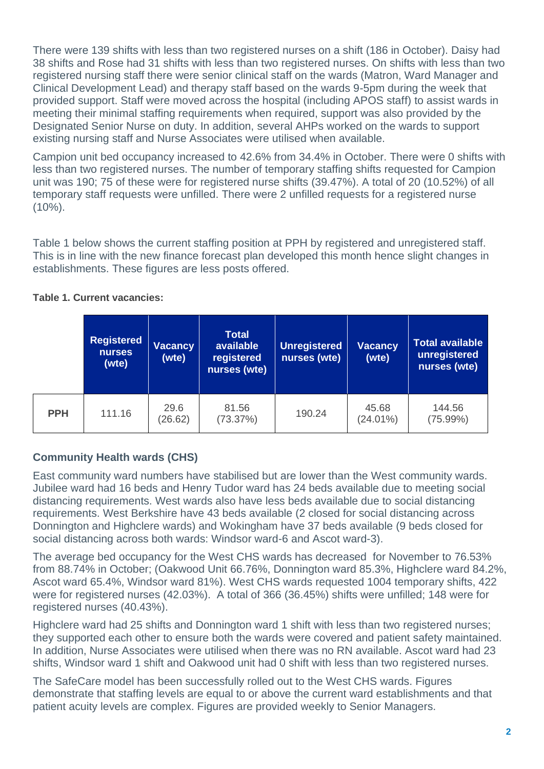There were 139 shifts with less than two registered nurses on a shift (186 in October). Daisy had 38 shifts and Rose had 31 shifts with less than two registered nurses. On shifts with less than two registered nursing staff there were senior clinical staff on the wards (Matron, Ward Manager and Clinical Development Lead) and therapy staff based on the wards 9-5pm during the week that provided support. Staff were moved across the hospital (including APOS staff) to assist wards in meeting their minimal staffing requirements when required, support was also provided by the Designated Senior Nurse on duty. In addition, several AHPs worked on the wards to support existing nursing staff and Nurse Associates were utilised when available.

Campion unit bed occupancy increased to 42.6% from 34.4% in October. There were 0 shifts with less than two registered nurses. The number of temporary staffing shifts requested for Campion unit was 190; 75 of these were for registered nurse shifts (39.47%). A total of 20 (10.52%) of all temporary staff requests were unfilled. There were 2 unfilled requests for a registered nurse  $(10\%)$ .

Table 1 below shows the current staffing position at PPH by registered and unregistered staff. This is in line with the new finance forecast plan developed this month hence slight changes in establishments. These figures are less posts offered.

|            | <b>Registered</b><br><b>nurses</b><br>(wte) | <b>Vacancy</b><br>(wte) |                   | <b>Unregistered</b><br>nurses (wte) | <b>Vacancy</b><br>(wte) | <b>Total available</b><br>unregistered<br>nurses (wte) |  |  |
|------------|---------------------------------------------|-------------------------|-------------------|-------------------------------------|-------------------------|--------------------------------------------------------|--|--|
| <b>PPH</b> | 111.16                                      | 29.6<br>(26.62)         | 81.56<br>(73.37%) | 190.24                              | 45.68<br>$(24.01\%)$    | 144.56<br>(75.99%)                                     |  |  |

#### **Table 1. Current vacancies:**

## **Community Health wards (CHS)**

East community ward numbers have stabilised but are lower than the West community wards. Jubilee ward had 16 beds and Henry Tudor ward has 24 beds available due to meeting social distancing requirements. West wards also have less beds available due to social distancing requirements. West Berkshire have 43 beds available (2 closed for social distancing across Donnington and Highclere wards) and Wokingham have 37 beds available (9 beds closed for social distancing across both wards: Windsor ward-6 and Ascot ward-3).

The average bed occupancy for the West CHS wards has decreased for November to 76.53% from 88.74% in October; (Oakwood Unit 66.76%, Donnington ward 85.3%, Highclere ward 84.2%, Ascot ward 65.4%, Windsor ward 81%). West CHS wards requested 1004 temporary shifts, 422 were for registered nurses (42.03%). A total of 366 (36.45%) shifts were unfilled; 148 were for registered nurses (40.43%).

Highclere ward had 25 shifts and Donnington ward 1 shift with less than two registered nurses; they supported each other to ensure both the wards were covered and patient safety maintained. In addition, Nurse Associates were utilised when there was no RN available. Ascot ward had 23 shifts, Windsor ward 1 shift and Oakwood unit had 0 shift with less than two registered nurses.

The SafeCare model has been successfully rolled out to the West CHS wards. Figures demonstrate that staffing levels are equal to or above the current ward establishments and that patient acuity levels are complex. Figures are provided weekly to Senior Managers.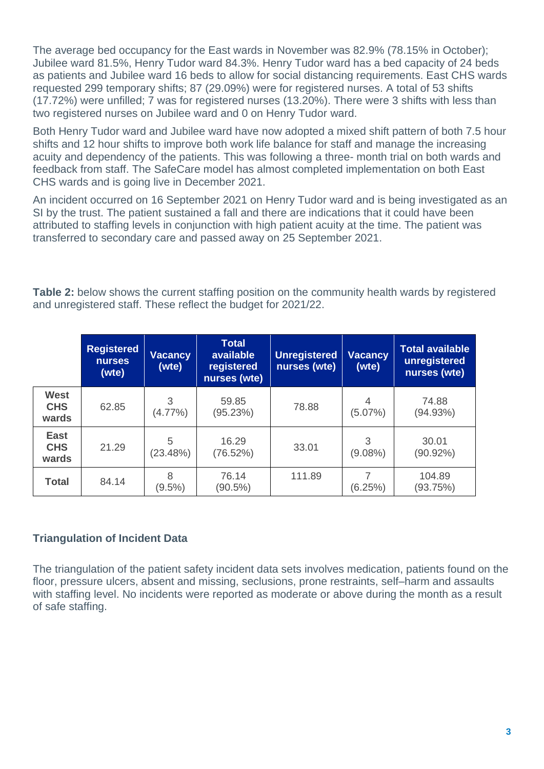The average bed occupancy for the East wards in November was 82.9% (78.15% in October); Jubilee ward 81.5%, Henry Tudor ward 84.3%. Henry Tudor ward has a bed capacity of 24 beds as patients and Jubilee ward 16 beds to allow for social distancing requirements. East CHS wards requested 299 temporary shifts; 87 (29.09%) were for registered nurses. A total of 53 shifts (17.72%) were unfilled; 7 was for registered nurses (13.20%). There were 3 shifts with less than two registered nurses on Jubilee ward and 0 on Henry Tudor ward.

Both Henry Tudor ward and Jubilee ward have now adopted a mixed shift pattern of both 7.5 hour shifts and 12 hour shifts to improve both work life balance for staff and manage the increasing acuity and dependency of the patients. This was following a three- month trial on both wards and feedback from staff. The SafeCare model has almost completed implementation on both East CHS wards and is going live in December 2021.

An incident occurred on 16 September 2021 on Henry Tudor ward and is being investigated as an SI by the trust. The patient sustained a fall and there are indications that it could have been attributed to staffing levels in conjunction with high patient acuity at the time. The patient was transferred to secondary care and passed away on 25 September 2021.

**Table 2:** below shows the current staffing position on the community health wards by registered and unregistered staff. These reflect the budget for 2021/22.

|                                    | <b>Registered</b><br><b>nurses</b><br>(wte) | Vacancy<br>(wte) | <b>Total</b><br>available<br>registered<br>nurses (wte) | <b>Unregistered</b><br>nurses (wte) | Vacancy<br>(wte) | <b>Total available</b><br>unregistered<br>nurses (wte) |
|------------------------------------|---------------------------------------------|------------------|---------------------------------------------------------|-------------------------------------|------------------|--------------------------------------------------------|
| <b>West</b><br><b>CHS</b><br>wards | 62.85                                       | 3<br>$(4.77\%)$  | 59.85<br>(95.23%)                                       | 78.88                               | 4<br>$(5.07\%)$  | 74.88<br>(94.93%)                                      |
| <b>East</b><br><b>CHS</b><br>wards | 21.29                                       | 5<br>(23.48%)    | 16.29<br>(76.52%)                                       | 33.01                               | 3<br>$(9.08\%)$  | 30.01<br>$(90.92\%)$                                   |
| <b>Total</b>                       | 84.14                                       | 8<br>$(9.5\%)$   | 76.14<br>$(90.5\%)$                                     | 111.89                              | 7<br>(6.25%)     | 104.89<br>(93.75%)                                     |

#### **Triangulation of Incident Data**

The triangulation of the patient safety incident data sets involves medication, patients found on the floor, pressure ulcers, absent and missing, seclusions, prone restraints, self–harm and assaults with staffing level. No incidents were reported as moderate or above during the month as a result of safe staffing.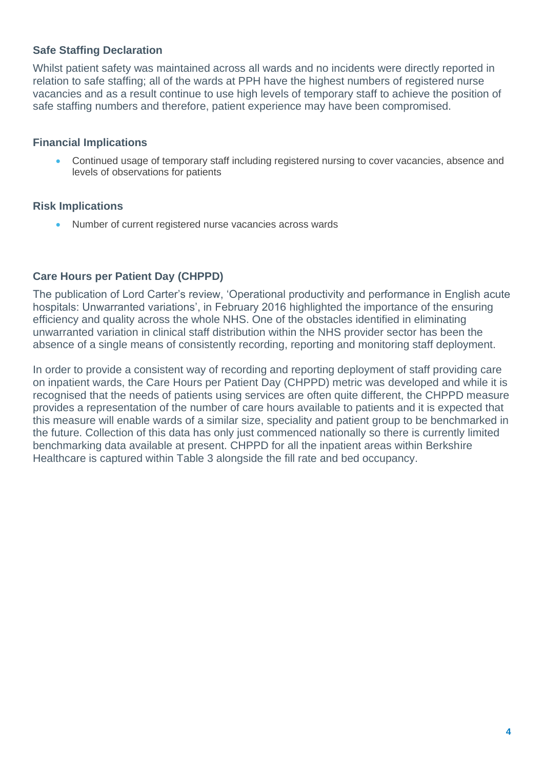#### **Safe Staffing Declaration**

Whilst patient safety was maintained across all wards and no incidents were directly reported in relation to safe staffing; all of the wards at PPH have the highest numbers of registered nurse vacancies and as a result continue to use high levels of temporary staff to achieve the position of safe staffing numbers and therefore, patient experience may have been compromised.

#### **Financial Implications**

• Continued usage of temporary staff including registered nursing to cover vacancies, absence and levels of observations for patients

#### **Risk Implications**

• Number of current registered nurse vacancies across wards

#### **Care Hours per Patient Day (CHPPD)**

The publication of Lord Carter's review, 'Operational productivity and performance in English acute hospitals: Unwarranted variations', in February 2016 highlighted the importance of the ensuring efficiency and quality across the whole NHS. One of the obstacles identified in eliminating unwarranted variation in clinical staff distribution within the NHS provider sector has been the absence of a single means of consistently recording, reporting and monitoring staff deployment.

In order to provide a consistent way of recording and reporting deployment of staff providing care on inpatient wards, the Care Hours per Patient Day (CHPPD) metric was developed and while it is recognised that the needs of patients using services are often quite different, the CHPPD measure provides a representation of the number of care hours available to patients and it is expected that this measure will enable wards of a similar size, speciality and patient group to be benchmarked in the future. Collection of this data has only just commenced nationally so there is currently limited benchmarking data available at present. CHPPD for all the inpatient areas within Berkshire Healthcare is captured within Table 3 alongside the fill rate and bed occupancy.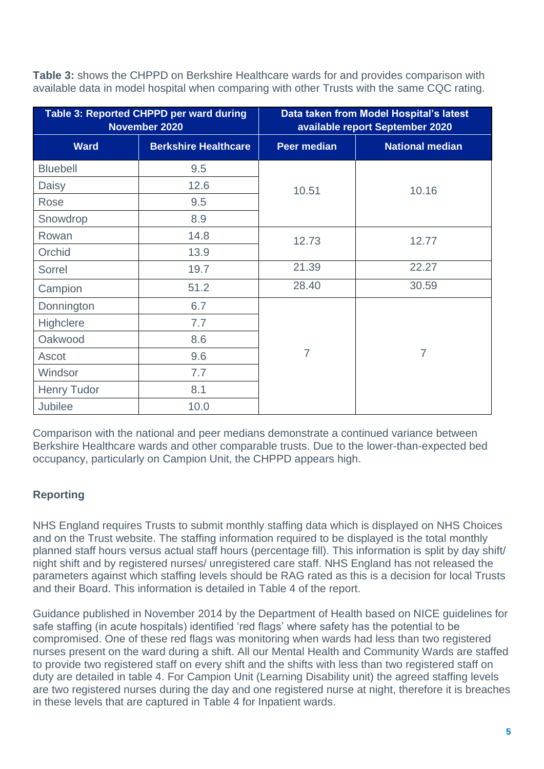**Table 3:** shows the CHPPD on Berkshire Healthcare wards for and provides comparison with available data in model hospital when comparing with other Trusts with the same CQC rating.

|                    | Table 3: Reported CHPPD per ward during<br>November 2020 | Data taken from Model Hospital's latest<br>available report September 2020 |                        |  |  |  |  |  |  |  |
|--------------------|----------------------------------------------------------|----------------------------------------------------------------------------|------------------------|--|--|--|--|--|--|--|
| <b>Ward</b>        | <b>Berkshire Healthcare</b>                              | <b>Peer median</b>                                                         | <b>National median</b> |  |  |  |  |  |  |  |
| <b>Bluebell</b>    | 9.5                                                      |                                                                            |                        |  |  |  |  |  |  |  |
| Daisy              | 12.6                                                     | 10.51                                                                      | 10.16                  |  |  |  |  |  |  |  |
| Rose               | 9.5                                                      |                                                                            |                        |  |  |  |  |  |  |  |
| Snowdrop           | 8.9                                                      |                                                                            |                        |  |  |  |  |  |  |  |
| Rowan              | 14.8                                                     | 12.73                                                                      | 12.77                  |  |  |  |  |  |  |  |
| Orchid             | 13.9                                                     |                                                                            |                        |  |  |  |  |  |  |  |
| Sorrel             | 19.7                                                     | 21.39                                                                      | 22.27                  |  |  |  |  |  |  |  |
| Campion            | 51.2                                                     | 28.40                                                                      | 30.59                  |  |  |  |  |  |  |  |
| Donnington         | 6.7                                                      |                                                                            |                        |  |  |  |  |  |  |  |
| Highclere          | 7.7                                                      |                                                                            |                        |  |  |  |  |  |  |  |
| Oakwood            | 8.6                                                      |                                                                            |                        |  |  |  |  |  |  |  |
| Ascot              | 9.6                                                      | $\overline{7}$                                                             | $\overline{7}$         |  |  |  |  |  |  |  |
| Windsor            | 7.7                                                      |                                                                            |                        |  |  |  |  |  |  |  |
| <b>Henry Tudor</b> | 8.1                                                      |                                                                            |                        |  |  |  |  |  |  |  |
| <b>Jubilee</b>     | 10.0                                                     |                                                                            |                        |  |  |  |  |  |  |  |

Comparison with the national and peer medians demonstrate a continued variance between Berkshire Healthcare wards and other comparable trusts. Due to the lower-than-expected bed occupancy, particularly on Campion Unit, the CHPPD appears high.

## **Reporting**

NHS England requires Trusts to submit monthly staffing data which is displayed on NHS Choices and on the Trust website. The staffing information required to be displayed is the total monthly planned staff hours versus actual staff hours (percentage fill). This information is split by day shift/ night shift and by registered nurses/ unregistered care staff. NHS England has not released the parameters against which staffing levels should be RAG rated as this is a decision for local Trusts and their Board. This information is detailed in Table 4 of the report.

Guidance published in November 2014 by the Department of Health based on NICE guidelines for safe staffing (in acute hospitals) identified 'red flags' where safety has the potential to be compromised. One of these red flags was monitoring when wards had less than two registered nurses present on the ward during a shift. All our Mental Health and Community Wards are staffed to provide two registered staff on every shift and the shifts with less than two registered staff on duty are detailed in table 4. For Campion Unit (Learning Disability unit) the agreed staffing levels are two registered nurses during the day and one registered nurse at night, therefore it is breaches in these levels that are captured in Table 4 for Inpatient wards.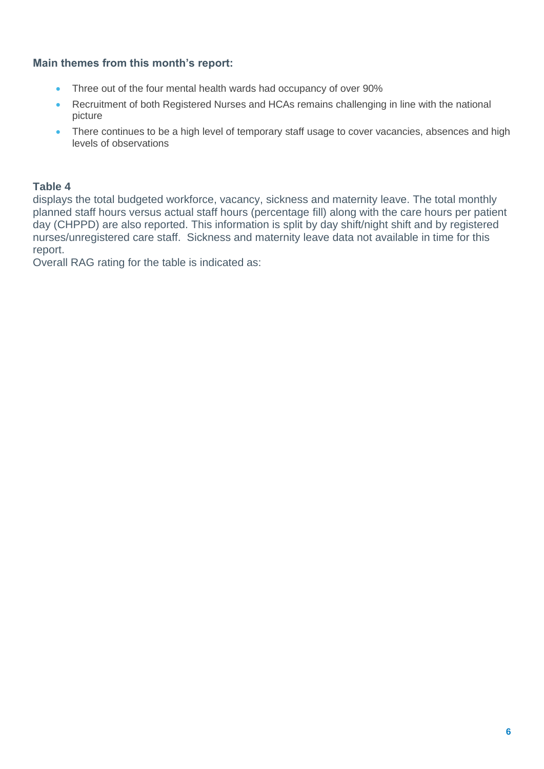#### **Main themes from this month's report:**

- Three out of the four mental health wards had occupancy of over 90%
- Recruitment of both Registered Nurses and HCAs remains challenging in line with the national picture
- There continues to be a high level of temporary staff usage to cover vacancies, absences and high levels of observations

#### **Table 4**

displays the total budgeted workforce, vacancy, sickness and maternity leave. The total monthly planned staff hours versus actual staff hours (percentage fill) along with the care hours per patient day (CHPPD) are also reported. This information is split by day shift/night shift and by registered nurses/unregistered care staff. Sickness and maternity leave data not available in time for this report.

Overall RAG rating for the table is indicated as: